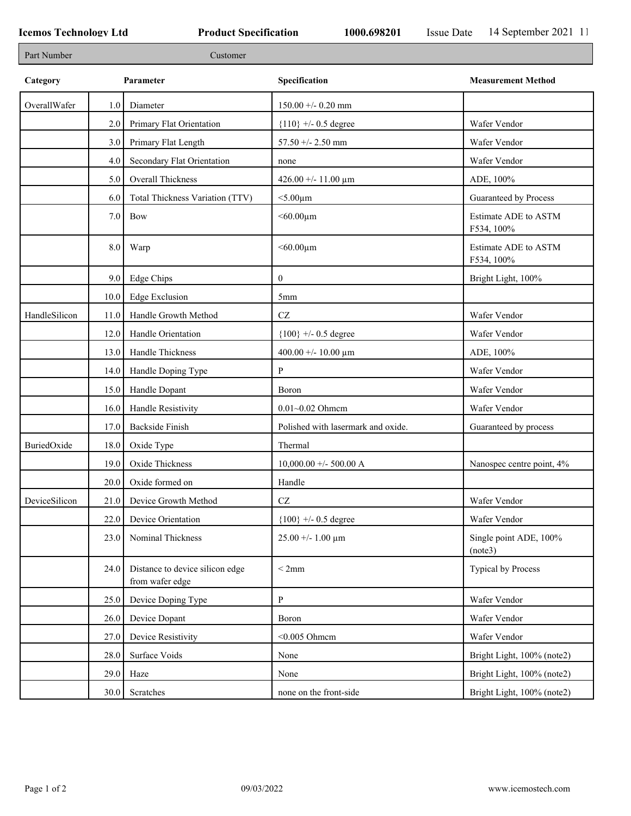| Part Number   |      | Customer                                           |                                    |                                    |
|---------------|------|----------------------------------------------------|------------------------------------|------------------------------------|
| Category      |      | Parameter                                          | Specification                      | <b>Measurement Method</b>          |
| OverallWafer  | 1.0  | Diameter                                           | $150.00 + -0.20$ mm                |                                    |
|               | 2.0  | Primary Flat Orientation                           | ${110}$ +/- 0.5 degree             | Wafer Vendor                       |
|               | 3.0  | Primary Flat Length                                | 57.50 +/- 2.50 mm                  | Wafer Vendor                       |
|               | 4.0  | Secondary Flat Orientation                         | none                               | Wafer Vendor                       |
|               | 5.0  | Overall Thickness                                  | 426.00 +/- 11.00 $\mu$ m           | ADE, 100%                          |
|               | 6.0  | Total Thickness Variation (TTV)                    | $<$ 5.00 $\mu$ m                   | Guaranteed by Process              |
|               | 7.0  | Bow                                                | $<$ 60.00 $\mu$ m                  | Estimate ADE to ASTM<br>F534, 100% |
|               | 8.0  | Warp                                               | $<$ 60.00 $\mu$ m                  | Estimate ADE to ASTM<br>F534, 100% |
|               | 9.0  | Edge Chips                                         | $\mathbf{0}$                       | Bright Light, 100%                 |
|               | 10.0 | <b>Edge Exclusion</b>                              | 5 <sub>mm</sub>                    |                                    |
| HandleSilicon | 11.0 | Handle Growth Method                               | $\operatorname{CZ}$                | Wafer Vendor                       |
|               | 12.0 | Handle Orientation                                 | ${100}$ +/- 0.5 degree             | Wafer Vendor                       |
|               | 13.0 | Handle Thickness                                   | 400.00 +/- 10.00 $\mu$ m           | ADE, 100%                          |
|               | 14.0 | Handle Doping Type                                 | P                                  | Wafer Vendor                       |
|               | 15.0 | Handle Dopant                                      | Boron                              | Wafer Vendor                       |
|               | 16.0 | Handle Resistivity                                 | $0.01 - 0.02$ Ohmem                | Wafer Vendor                       |
|               | 17.0 | <b>Backside Finish</b>                             | Polished with lasermark and oxide. | Guaranteed by process              |
| BuriedOxide   | 18.0 | Oxide Type                                         | Thermal                            |                                    |
|               | 19.0 | Oxide Thickness                                    | $10,000.00 +/- 500.00 A$           | Nanospec centre point, 4%          |
|               | 20.0 | Oxide formed on                                    | Handle                             |                                    |
| DeviceSilicon |      | 21.0 Device Growth Method                          | CZ                                 | Wafer Vendor                       |
|               | 22.0 | Device Orientation                                 | ${100}$ +/- 0.5 degree             | Wafer Vendor                       |
|               | 23.0 | Nominal Thickness                                  | $25.00 + - 1.00 \mu m$             | Single point ADE, 100%<br>(note3)  |
|               | 24.0 | Distance to device silicon edge<br>from wafer edge | < 2mm                              | Typical by Process                 |
|               | 25.0 | Device Doping Type                                 | P                                  | Wafer Vendor                       |
|               | 26.0 | Device Dopant                                      | Boron                              | Wafer Vendor                       |
|               | 27.0 | Device Resistivity                                 | $<$ 0.005 Ohmcm                    | Wafer Vendor                       |
|               | 28.0 | Surface Voids                                      | None                               | Bright Light, 100% (note2)         |
|               | 29.0 | Haze                                               | None                               | Bright Light, 100% (note2)         |
|               | 30.0 | Scratches                                          | none on the front-side             | Bright Light, 100% (note2)         |